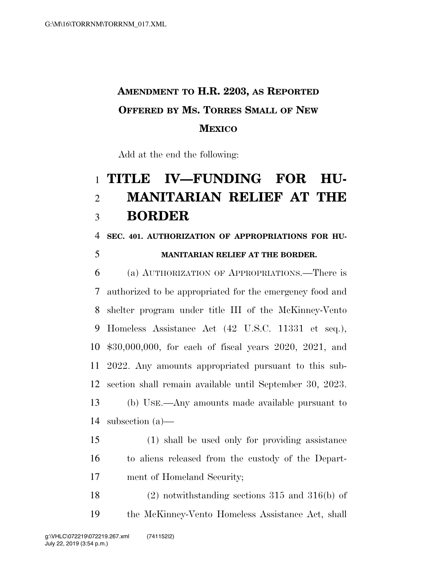## **AMENDMENT TO H.R. 2203, AS REPORTED OFFERED BY MS. TORRES SMALL OF NEW MEXICO**

Add at the end the following:

## **TITLE IV—FUNDING FOR HU- MANITARIAN RELIEF AT THE BORDER**

**SEC. 401. AUTHORIZATION OF APPROPRIATIONS FOR HU-**

## **MANITARIAN RELIEF AT THE BORDER.**

 (a) AUTHORIZATION OF APPROPRIATIONS.—There is authorized to be appropriated for the emergency food and shelter program under title III of the McKinney-Vento Homeless Assistance Act (42 U.S.C. 11331 et seq.), \$30,000,000, for each of fiscal years 2020, 2021, and 2022. Any amounts appropriated pursuant to this sub- section shall remain available until September 30, 2023. (b) USE.—Any amounts made available pursuant to subsection (a)—

 (1) shall be used only for providing assistance to aliens released from the custody of the Depart-ment of Homeland Security;

 (2) notwithstanding sections 315 and 316(b) of the McKinney-Vento Homeless Assistance Act, shall